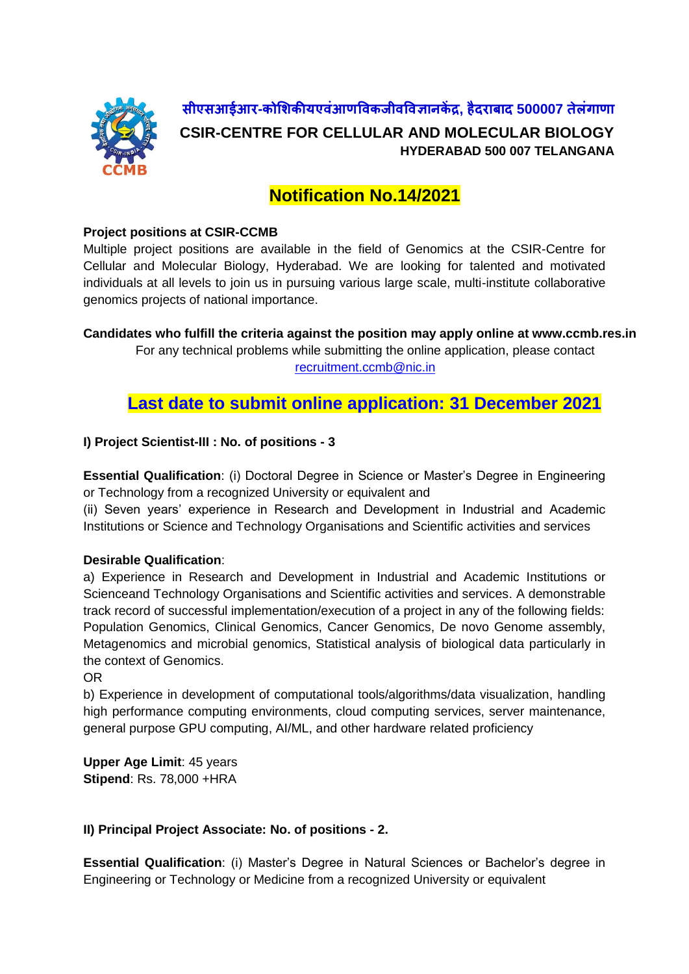

**सीएसआईआर-कोशिकीयएवंआणववकजीवववज्ञानकें द्र, हैदराबाद 500007 तेलंगाणा CSIR-CENTRE FOR CELLULAR AND MOLECULAR BIOLOGY HYDERABAD 500 007 TELANGANA**

# **Notification No.14/2021**

#### **Project positions at CSIR-CCMB**

Multiple project positions are available in the field of Genomics at the CSIR-Centre for Cellular and Molecular Biology, Hyderabad. We are looking for talented and motivated individuals at all levels to join us in pursuing various large scale, multi-institute collaborative genomics projects of national importance.

**Candidates who fulfill the criteria against the position may apply online at www.ccmb.res.in**

For any technical problems while submitting the online application, please contact [recruitment.ccmb@nic.in](mailto:recruitment.ccmb@nic.in)

**Last date to submit online application: 31 December 2021**

## **I) Project Scientist-III : No. of positions - 3**

**Essential Qualification**: (i) Doctoral Degree in Science or Master's Degree in Engineering or Technology from a recognized University or equivalent and

(ii) Seven years' experience in Research and Development in Industrial and Academic Institutions or Science and Technology Organisations and Scientific activities and services

## **Desirable Qualification**:

a) Experience in Research and Development in Industrial and Academic Institutions or Scienceand Technology Organisations and Scientific activities and services. A demonstrable track record of successful implementation/execution of a project in any of the following fields: Population Genomics, Clinical Genomics, Cancer Genomics, De novo Genome assembly, Metagenomics and microbial genomics, Statistical analysis of biological data particularly in the context of Genomics.

OR

b) Experience in development of computational tools/algorithms/data visualization, handling high performance computing environments, cloud computing services, server maintenance, general purpose GPU computing, AI/ML, and other hardware related proficiency

**Upper Age Limit**: 45 years **Stipend**: Rs. 78,000 +HRA

## **II) Principal Project Associate: No. of positions - 2.**

**Essential Qualification**: (i) Master's Degree in Natural Sciences or Bachelor's degree in Engineering or Technology or Medicine from a recognized University or equivalent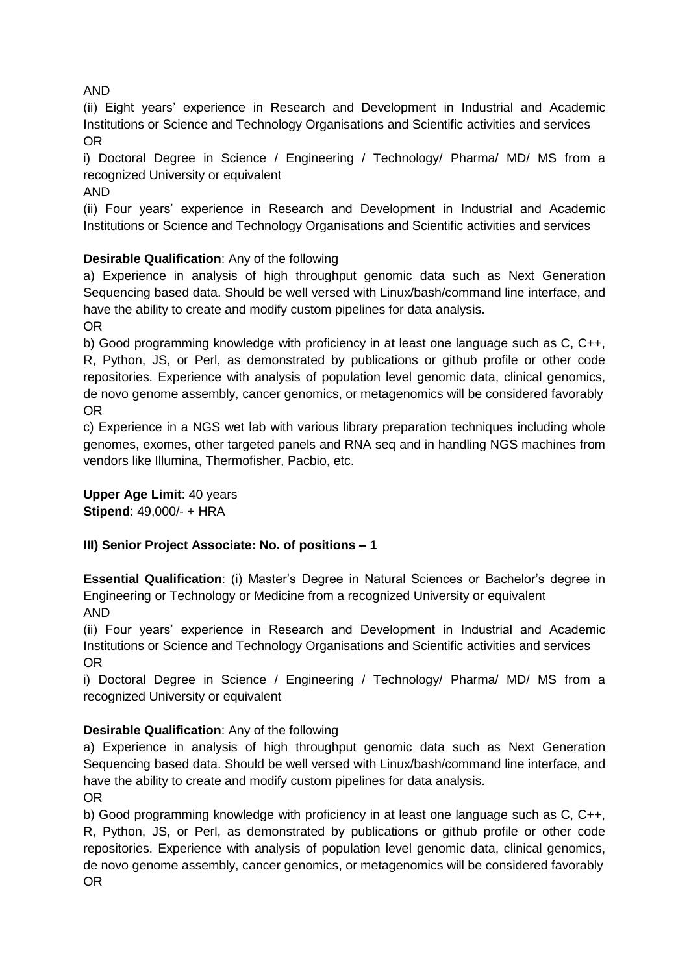# AND

(ii) Eight years' experience in Research and Development in Industrial and Academic Institutions or Science and Technology Organisations and Scientific activities and services OR

i) Doctoral Degree in Science / Engineering / Technology/ Pharma/ MD/ MS from a recognized University or equivalent

AND

(ii) Four years' experience in Research and Development in Industrial and Academic Institutions or Science and Technology Organisations and Scientific activities and services

# **Desirable Qualification**: Any of the following

a) Experience in analysis of high throughput genomic data such as Next Generation Sequencing based data. Should be well versed with Linux/bash/command line interface, and have the ability to create and modify custom pipelines for data analysis. OR

b) Good programming knowledge with proficiency in at least one language such as C, C++, R, Python, JS, or Perl, as demonstrated by publications or github profile or other code repositories. Experience with analysis of population level genomic data, clinical genomics, de novo genome assembly, cancer genomics, or metagenomics will be considered favorably OR

c) Experience in a NGS wet lab with various library preparation techniques including whole genomes, exomes, other targeted panels and RNA seq and in handling NGS machines from vendors like Illumina, Thermofisher, Pacbio, etc.

**Upper Age Limit**: 40 years **Stipend**: 49,000/- + HRA

## **III) Senior Project Associate: No. of positions – 1**

**Essential Qualification**: (i) Master's Degree in Natural Sciences or Bachelor's degree in Engineering or Technology or Medicine from a recognized University or equivalent AND

(ii) Four years' experience in Research and Development in Industrial and Academic Institutions or Science and Technology Organisations and Scientific activities and services OR

i) Doctoral Degree in Science / Engineering / Technology/ Pharma/ MD/ MS from a recognized University or equivalent

## **Desirable Qualification**: Any of the following

a) Experience in analysis of high throughput genomic data such as Next Generation Sequencing based data. Should be well versed with Linux/bash/command line interface, and have the ability to create and modify custom pipelines for data analysis. OR

b) Good programming knowledge with proficiency in at least one language such as C, C++, R, Python, JS, or Perl, as demonstrated by publications or github profile or other code repositories. Experience with analysis of population level genomic data, clinical genomics, de novo genome assembly, cancer genomics, or metagenomics will be considered favorably OR